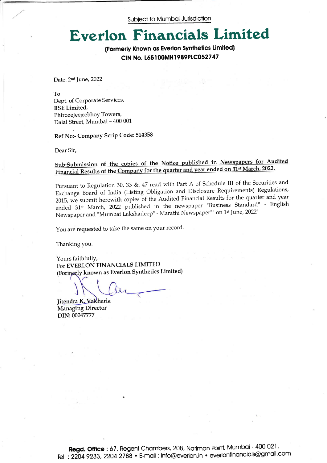Subject to Mumboi Jurisdiction

## Everlon Financials Limited

(Formerly Known os Everlon Synthetics Limited) CIN No. L65I00MHl989PICO527 47

Date: 2<sup>nd</sup> June, 2022

/

To Dept. of Corporate Services, BSE Limited, PhirozeJeejeebhoy Towers, Da1al Street, Mumbai - 400 001

Ref No:- Company Scrip Code: 514358

Dear Sir,

## Sub:Submission of the copies of the Notice published in Newspapers for Audited Financial Results of the Company for the quarter and year ended on 31<sup>st</sup> March, 2022.

Pursuant to Regulation 30, 33 &. 47 read with Part A of Schedule III of the Securities and Exchange Board of India (Listing Obligation and Disclosure Requirements) Regulations, 2015, we submit herewith copies of the Audited Financial Results for the quarter and year ended 31<sup>st</sup> March, 2022 published in the newspaper "Business Standard" - English Newspaper and "Mumbai Lakshadeep" - Marathi Newspaper"" on 1st June, 2022'

You are requested to take the same on your record.

Thanking you,

Yours faithfullY, For EVERLON FINANCIALS LIMITED (Formerly known as Everlon Synthetics Limited)

Managing Director DIN: 00047777 Jitendra K. Vakharia